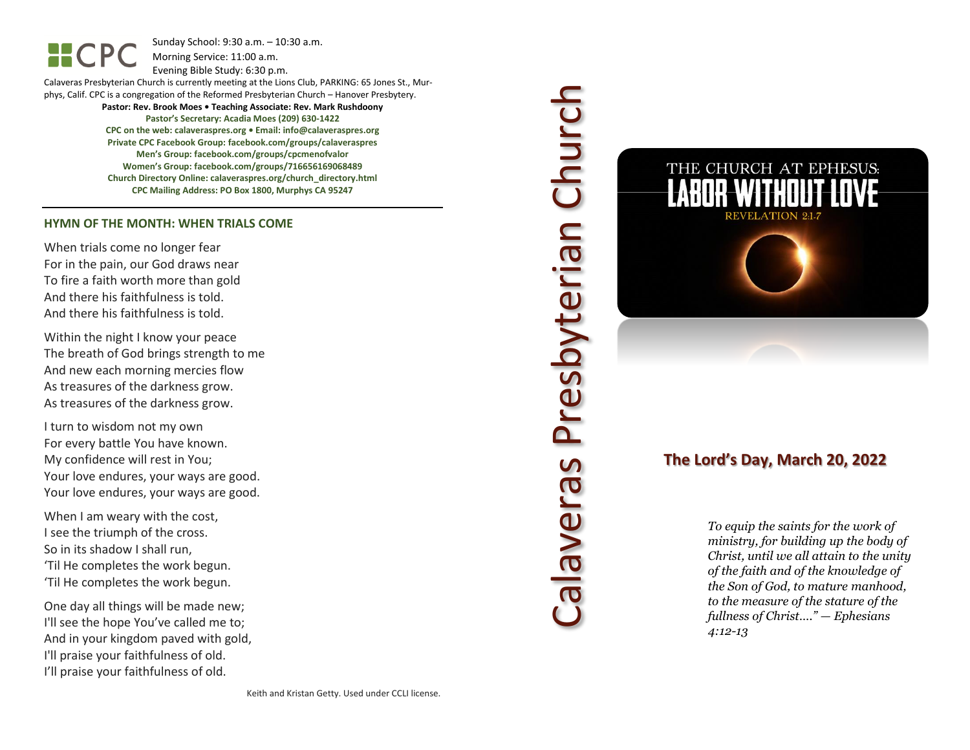Sunday School: 9: 3 0 a.m. – 10:30 a.m. Morning Service: 1 1 :00 a.m.

Evening Bible Study: 6: 30 p.m.

Calaveras Presbyterian Church is currently meeting at the Lions Club, PARKING: 65 Jones St., Murphys, Calif. CPC is a congregation of the Reformed Presbyterian Church – Hanover Presbytery.

**Pastor: Rev. Brook Moes • Teaching Associate: Rev. Mark Rushdoony Pastor's Secretary: Acadia Moes (209) 630 -1422 CPC on the web: calaveraspres.org • Email: [info@calaveraspres.org](mailto:info@calaveraspres.org) Private CPC Facebook Group: facebook.com/groups/calaveraspres Men's Group: facebook.com/groups/cpcmenofvalor Women's Group: facebook.com/groups/716656169068489 Church Directory Online: calaveraspres.org/church \_directory.html CPC Mailing Address: PO Box 1800, Murphys CA 95247**

#### **HYMN OF THE MONTH: WHEN TRIALS COME**

When trials come no longer fear For in the pain , our God draws near To fire a faith worth more than gold And there his faithfulness is told . And there his faithfulness is told.

Within the night I know your peace The breath of God brings strength to me And new each morning mercies flow As treasures of the darkness grow. As treasures of the darkness grow .

I turn to wisdom not my own For every battle You have known . My confidence will rest in You ; Your love endures, your ways are good . Your love endures, your ways are good.

When I am weary with the cost , I see the triumph of the cross. So in its shadow I shall run , 'Til He complete s the work begun . 'Til He completes the work begun.

One day all things will be made new ; I'll see the hope You've called me to; And in your kingdom paved with gold , I'll praise your faithfulness of old . I'll praise your faithfulness of old.

Calaveras Presbyterian Church Calaveras Presbyterian Churcl



## **The Lord's Day, March 20, 202 2**

*To equip the saints for the work of ministry, for building up the body of Christ, until we all attain to the unity of the faith and of the knowledge of the Son of God, to mature manhood, to the measure of the stature of the fullness of Christ…." — Ephesians 4:12 -13*